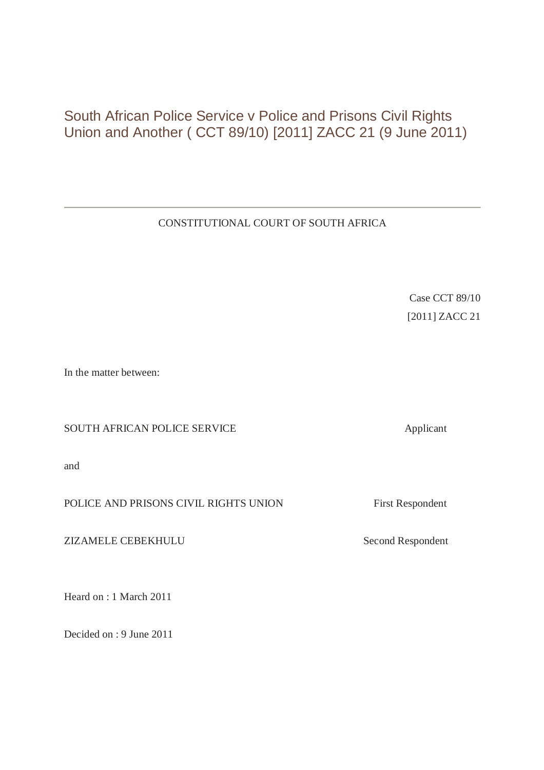# South African Police Service v Police and Prisons Civil Rights Union and Another ( CCT 89/10) [2011] ZACC 21 (9 June 2011)

# CONSTITUTIONAL COURT OF SOUTH AFRICA

Case CCT 89/10 [2011] ZACC 21

In the matter between:

SOUTH AFRICAN POLICE SERVICE **Example 1998** Applicant

and

POLICE AND PRISONS CIVIL RIGHTS UNION First Respondent

ZIZAMELE CEBEKHULU Second Respondent

Heard on : 1 March 2011

Decided on : 9 June 2011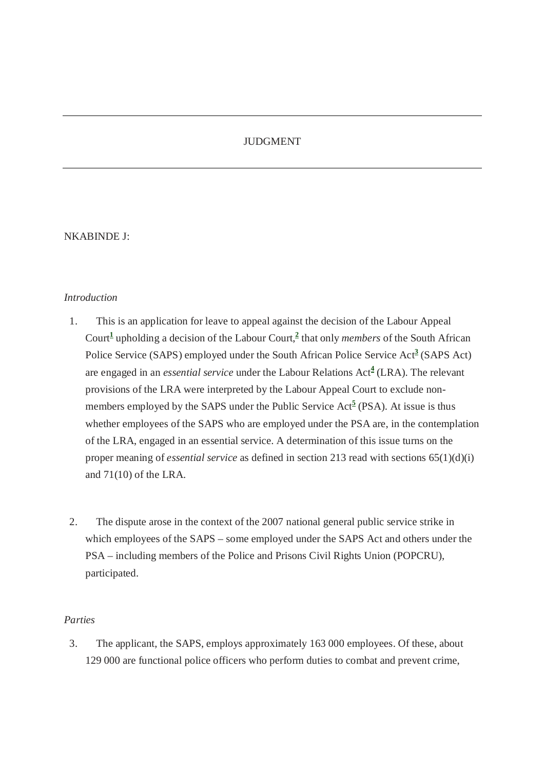# JUDGMENT

#### NKABINDE J:

#### *Introduction*

- 1. This is an application for leave to appeal against the decision of the Labour Appeal Court<sup>1</sup> upholding a decision of the Labour Court,<sup>2</sup> that only *members* of the South African Police Service (SAPS) employed under the South African Police Service Act<sup>3</sup> (SAPS Act) are engaged in an *essential service* under the Labour Relations Act**<sup>4</sup>** (LRA). The relevant provisions of the LRA were interpreted by the Labour Appeal Court to exclude nonmembers employed by the SAPS under the Public Service Act<sup>5</sup> (PSA). At issue is thus whether employees of the SAPS who are employed under the PSA are, in the contemplation of the LRA, engaged in an essential service. A determination of this issue turns on the proper meaning of *essential service* as defined in section 213 read with sections 65(1)(d)(i) and 71(10) of the LRA.
- 2. The dispute arose in the context of the 2007 national general public service strike in which employees of the SAPS – some employed under the SAPS Act and others under the PSA – including members of the Police and Prisons Civil Rights Union (POPCRU), participated.

# *Parties*

3. The applicant, the SAPS, employs approximately 163 000 employees. Of these, about 129 000 are functional police officers who perform duties to combat and prevent crime,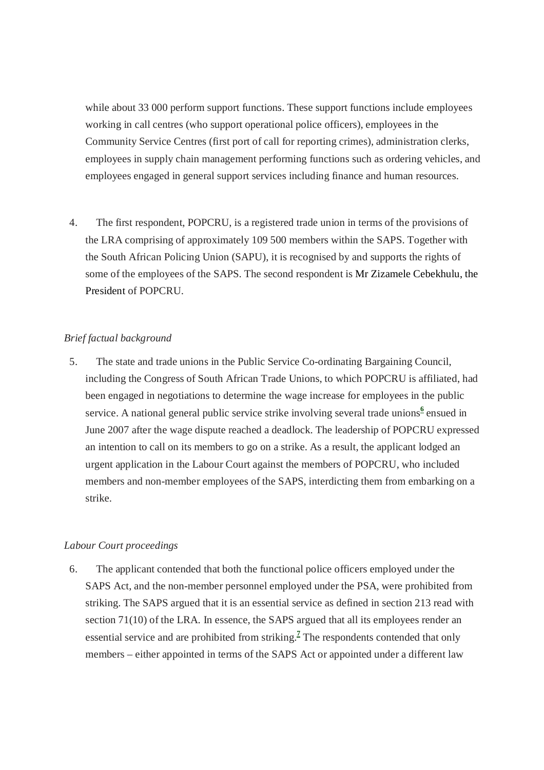while about 33 000 perform support functions. These support functions include employees working in call centres (who support operational police officers), employees in the Community Service Centres (first port of call for reporting crimes), administration clerks, employees in supply chain management performing functions such as ordering vehicles, and employees engaged in general support services including finance and human resources.

4. The first respondent, POPCRU, is a registered trade union in terms of the provisions of the LRA comprising of approximately 109 500 members within the SAPS. Together with the South African Policing Union (SAPU), it is recognised by and supports the rights of some of the employees of the SAPS. The second respondent is Mr Zizamele Cebekhulu, the President of POPCRU.

# *Brief factual background*

5. The state and trade unions in the Public Service Co-ordinating Bargaining Council, including the Congress of South African Trade Unions, to which POPCRU is affiliated, had been engaged in negotiations to determine the wage increase for employees in the public service. A national general public service strike involving several trade unions<sup>6</sup> ensued in June 2007 after the wage dispute reached a deadlock. The leadership of POPCRU expressed an intention to call on its members to go on a strike. As a result, the applicant lodged an urgent application in the Labour Court against the members of POPCRU, who included members and non-member employees of the SAPS, interdicting them from embarking on a strike.

# *Labour Court proceedings*

6. The applicant contended that both the functional police officers employed under the SAPS Act, and the non-member personnel employed under the PSA, were prohibited from striking. The SAPS argued that it is an essential service as defined in section 213 read with section 71(10) of the LRA. In essence, the SAPS argued that all its employees render an essential service and are prohibited from striking.<sup>7</sup> The respondents contended that only members – either appointed in terms of the SAPS Act or appointed under a different law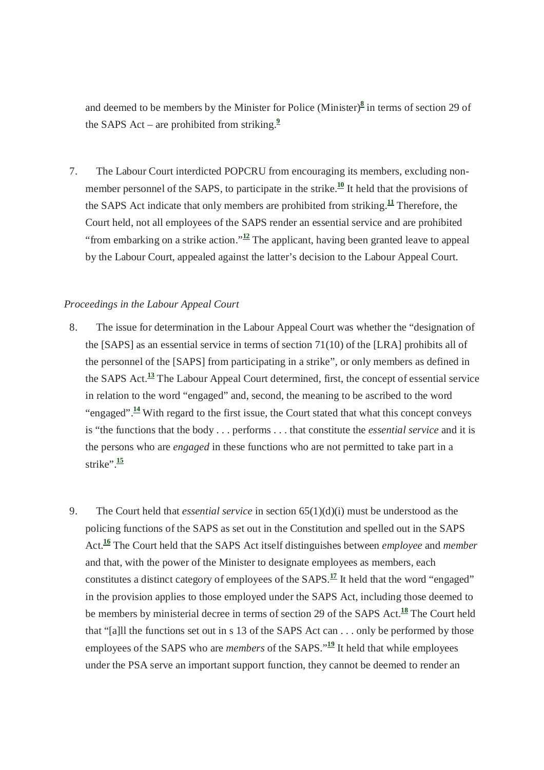and deemed to be members by the Minister for Police (Minister)**<sup>8</sup>** in terms of section 29 of the SAPS Act – are prohibited from striking.**<sup>9</sup>**

7. The Labour Court interdicted POPCRU from encouraging its members, excluding nonmember personnel of the SAPS, to participate in the strike.<sup>10</sup> It held that the provisions of the SAPS Act indicate that only members are prohibited from striking.**<sup>11</sup>** Therefore, the Court held, not all employees of the SAPS render an essential service and are prohibited "from embarking on a strike action."**<sup>12</sup>** The applicant, having been granted leave to appeal by the Labour Court, appealed against the latter's decision to the Labour Appeal Court.

#### *Proceedings in the Labour Appeal Court*

- 8. The issue for determination in the Labour Appeal Court was whether the "designation of the [SAPS] as an essential service in terms of section 71(10) of the [LRA] prohibits all of the personnel of the [SAPS] from participating in a strike", or only members as defined in the SAPS Act.**<sup>13</sup>** The Labour Appeal Court determined, first, the concept of essential service in relation to the word "engaged" and, second, the meaning to be ascribed to the word "engaged".**<sup>14</sup>** With regard to the first issue, the Court stated that what this concept conveys is "the functions that the body . . . performs . . . that constitute the *essential service* and it is the persons who are *engaged* in these functions who are not permitted to take part in a strike". $\frac{15}{15}$
- 9. The Court held that *essential service* in section 65(1)(d)(i) must be understood as the policing functions of the SAPS as set out in the Constitution and spelled out in the SAPS Act.**<sup>16</sup>** The Court held that the SAPS Act itself distinguishes between *employee* and *member* and that, with the power of the Minister to designate employees as members, each constitutes a distinct category of employees of the SAPS.**<sup>17</sup>** It held that the word "engaged" in the provision applies to those employed under the SAPS Act, including those deemed to be members by ministerial decree in terms of section 29 of the SAPS Act.**<sup>18</sup>** The Court held that "[a]ll the functions set out in s 13 of the SAPS Act can . . . only be performed by those employees of the SAPS who are *members* of the SAPS."**<sup>19</sup>** It held that while employees under the PSA serve an important support function, they cannot be deemed to render an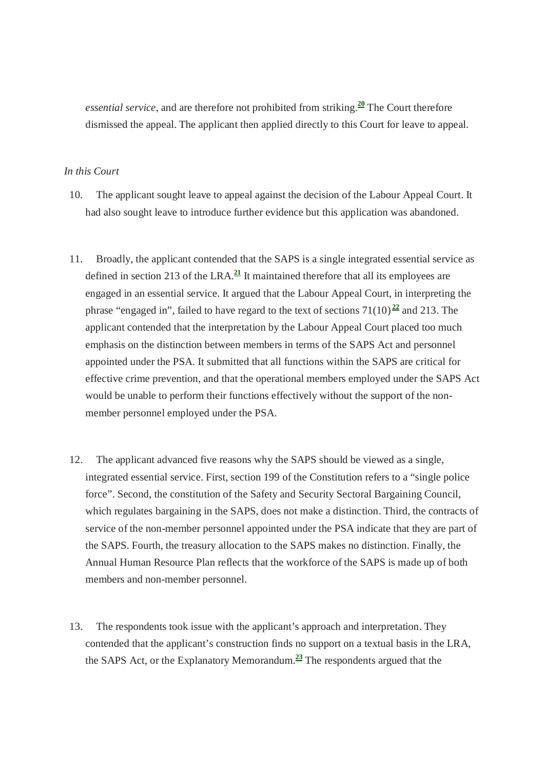*essential service*, and are therefore not prohibited from striking.**<sup>20</sup>** The Court therefore dismissed the appeal. The applicant then applied directly to this Court for leave to appeal.

#### *In this Court*

- 10. The applicant sought leave to appeal against the decision of the Labour Appeal Court. It had also sought leave to introduce further evidence but this application was abandoned.
- 11. Broadly, the applicant contended that the SAPS is a single integrated essential service as defined in section 213 of the LRA. $\frac{21}{2}$  It maintained therefore that all its employees are engaged in an essential service. It argued that the Labour Appeal Court, in interpreting the phrase "engaged in", failed to have regard to the text of sections  $71(10)^{22}$  and 213. The applicant contended that the interpretation by the Labour Appeal Court placed too much emphasis on the distinction between members in terms of the SAPS Act and personnel appointed under the PSA. It submitted that all functions within the SAPS are critical for effective crime prevention, and that the operational members employed under the SAPS Act would be unable to perform their functions effectively without the support of the nonmember personnel employed under the PSA.
- 12. The applicant advanced five reasons why the SAPS should be viewed as a single, integrated essential service. First, section 199 of the Constitution refers to a "single police force". Second, the constitution of the Safety and Security Sectoral Bargaining Council, which regulates bargaining in the SAPS, does not make a distinction. Third, the contracts of service of the non-member personnel appointed under the PSA indicate that they are part of the SAPS. Fourth, the treasury allocation to the SAPS makes no distinction. Finally, the Annual Human Resource Plan reflects that the workforce of the SAPS is made up of both members and non-member personnel.
- 13. The respondents took issue with the applicant's approach and interpretation. They contended that the applicant's construction finds no support on a textual basis in the LRA, the SAPS Act, or the Explanatory Memorandum.**<sup>23</sup>** The respondents argued that the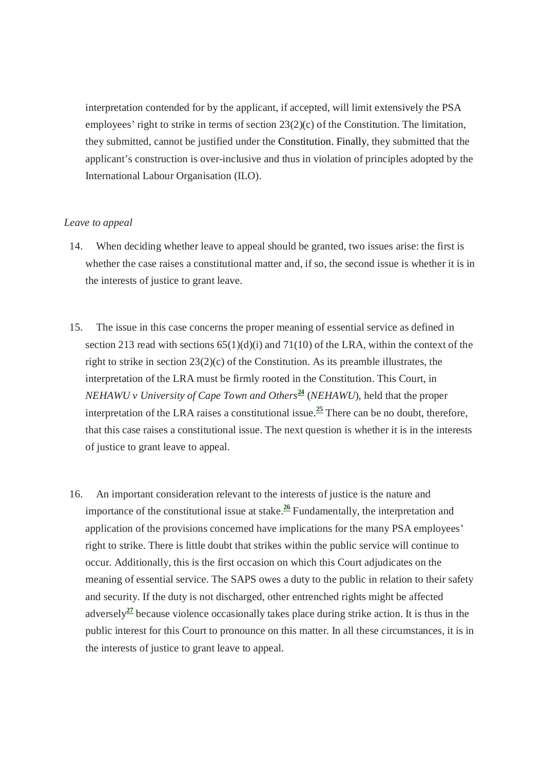interpretation contended for by the applicant, if accepted, will limit extensively the PSA employees' right to strike in terms of section 23(2)(c) of the Constitution. The limitation, they submitted, cannot be justified under the Constitution. Finally, they submitted that the applicant's construction is over-inclusive and thus in violation of principles adopted by the International Labour Organisation (ILO).

#### *Leave to appeal*

- 14. When deciding whether leave to appeal should be granted, two issues arise: the first is whether the case raises a constitutional matter and, if so, the second issue is whether it is in the interests of justice to grant leave.
- 15. The issue in this case concerns the proper meaning of essential service as defined in section 213 read with sections  $65(1)(d)(i)$  and  $71(10)$  of the LRA, within the context of the right to strike in section  $23(2)(c)$  of the Constitution. As its preamble illustrates, the interpretation of the LRA must be firmly rooted in the Constitution. This Court, in *NEHAWU v University of Cape Town and Others***<sup>24</sup>** (*NEHAWU*), held that the proper interpretation of the LRA raises a constitutional issue.<sup>25</sup> There can be no doubt, therefore, that this case raises a constitutional issue. The next question is whether it is in the interests of justice to grant leave to appeal.
- 16. An important consideration relevant to the interests of justice is the nature and importance of the constitutional issue at stake. $\frac{26}{\pi}$  Fundamentally, the interpretation and application of the provisions concerned have implications for the many PSA employees' right to strike. There is little doubt that strikes within the public service will continue to occur. Additionally, this is the first occasion on which this Court adjudicates on the meaning of essential service. The SAPS owes a duty to the public in relation to their safety and security. If the duty is not discharged, other entrenched rights might be affected adversely**<sup>27</sup>** because violence occasionally takes place during strike action. It is thus in the public interest for this Court to pronounce on this matter. In all these circumstances, it is in the interests of justice to grant leave to appeal.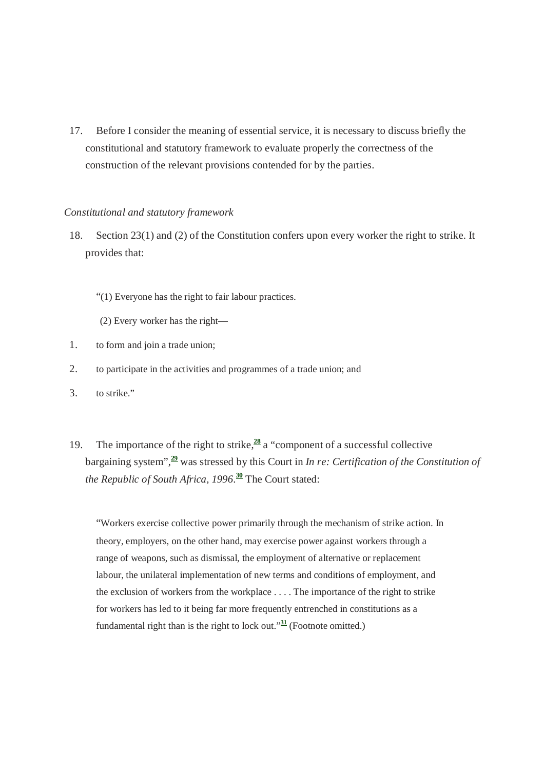17. Before I consider the meaning of essential service, it is necessary to discuss briefly the constitutional and statutory framework to evaluate properly the correctness of the construction of the relevant provisions contended for by the parties.

#### *Constitutional and statutory framework*

- 18. Section 23(1) and (2) of the Constitution confers upon every worker the right to strike. It provides that:
	- "(1) Everyone has the right to fair labour practices.
	- (2) Every worker has the right—
- 1. to form and join a trade union;
- 2. to participate in the activities and programmes of a trade union; and
- 3. to strike."
- 19. The importance of the right to strike,**<sup>28</sup>** a "component of a successful collective bargaining system",**<sup>29</sup>** was stressed by this Court in *In re: Certification of the Constitution of the Republic of South Africa, 1996*. **<sup>30</sup>** The Court stated:

"Workers exercise collective power primarily through the mechanism of strike action. In theory, employers, on the other hand, may exercise power against workers through a range of weapons, such as dismissal, the employment of alternative or replacement labour, the unilateral implementation of new terms and conditions of employment, and the exclusion of workers from the workplace . . . . The importance of the right to strike for workers has led to it being far more frequently entrenched in constitutions as a fundamental right than is the right to lock out."**<sup>31</sup>** (Footnote omitted.)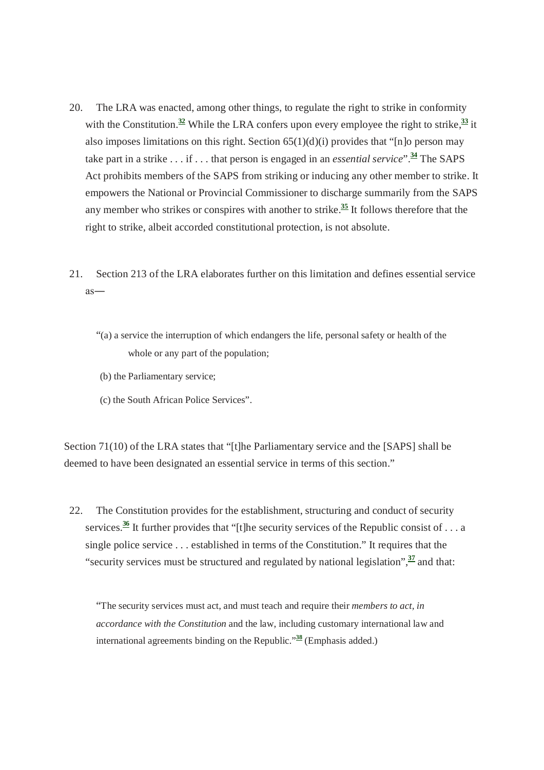- 20. The LRA was enacted, among other things, to regulate the right to strike in conformity with the Constitution.<sup>32</sup> While the LRA confers upon every employee the right to strike,  $\frac{33}{11}$  it also imposes limitations on this right. Section  $65(1)(d)(i)$  provides that "[n]o person may take part in a strike . . . if . . . that person is engaged in an *essential service*".**<sup>34</sup>** The SAPS Act prohibits members of the SAPS from striking or inducing any other member to strike. It empowers the National or Provincial Commissioner to discharge summarily from the SAPS any member who strikes or conspires with another to strike.**<sup>35</sup>** It follows therefore that the right to strike, albeit accorded constitutional protection, is not absolute.
- 21. Section 213 of the LRA elaborates further on this limitation and defines essential service as―
	- "(a) a service the interruption of which endangers the life, personal safety or health of the whole or any part of the population;
	- (b) the Parliamentary service;
	- (c) the South African Police Services".

Section 71(10) of the LRA states that "[t]he Parliamentary service and the [SAPS] shall be deemed to have been designated an essential service in terms of this section."

22. The Constitution provides for the establishment, structuring and conduct of security services.<sup>36</sup> It further provides that "[t]he security services of the Republic consist of . . . a single police service . . . established in terms of the Constitution." It requires that the "security services must be structured and regulated by national legislation",**<sup>37</sup>** and that:

"The security services must act, and must teach and require their *members to act, in accordance with the Constitution* and the law, including customary international law and international agreements binding on the Republic."**<sup>38</sup>** (Emphasis added.)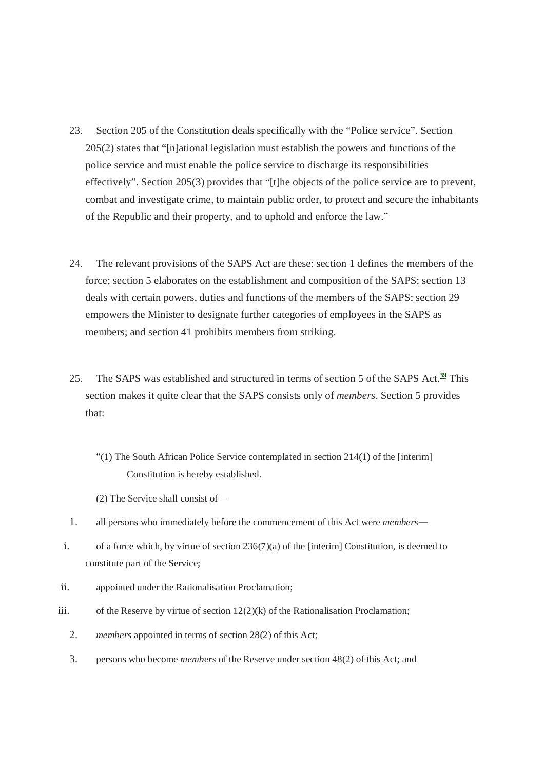- 23. Section 205 of the Constitution deals specifically with the "Police service". Section 205(2) states that "[n]ational legislation must establish the powers and functions of the police service and must enable the police service to discharge its responsibilities effectively". Section 205(3) provides that "[t]he objects of the police service are to prevent, combat and investigate crime, to maintain public order, to protect and secure the inhabitants of the Republic and their property, and to uphold and enforce the law."
- 24. The relevant provisions of the SAPS Act are these: section 1 defines the members of the force; section 5 elaborates on the establishment and composition of the SAPS; section 13 deals with certain powers, duties and functions of the members of the SAPS; section 29 empowers the Minister to designate further categories of employees in the SAPS as members; and section 41 prohibits members from striking.
- 25. The SAPS was established and structured in terms of section 5 of the SAPS Act.**<sup>39</sup>** This section makes it quite clear that the SAPS consists only of *members*. Section 5 provides that:
	- "(1) The South African Police Service contemplated in section 214(1) of the [interim] Constitution is hereby established.
	- (2) The Service shall consist of—
- 1. all persons who immediately before the commencement of this Act were *members*―
- i. of a force which, by virtue of section 236(7)(a) of the [interim] Constitution, is deemed to constitute part of the Service;
- ii. appointed under the Rationalisation Proclamation;
- iii. of the Reserve by virtue of section  $12(2)(k)$  of the Rationalisation Proclamation;
	- 2. *members* appointed in terms of section 28(2) of this Act;
	- 3. persons who become *members* of the Reserve under section 48(2) of this Act; and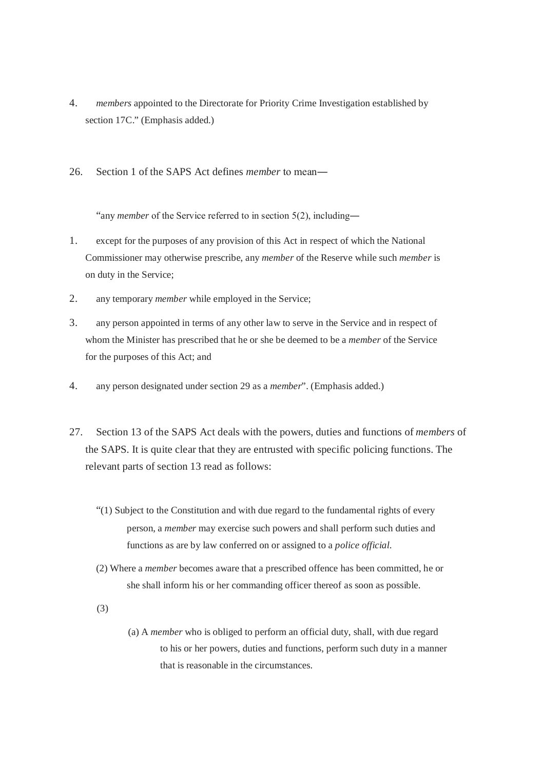- 4. *members* appointed to the Directorate for Priority Crime Investigation established by section 17C." (Emphasis added.)
- 26. Section 1 of the SAPS Act defines *member* to mean―

"any *member* of the Service referred to in section 5(2), including―

- 1. except for the purposes of any provision of this Act in respect of which the National Commissioner may otherwise prescribe, any *member* of the Reserve while such *member* is on duty in the Service;
- 2. any temporary *member* while employed in the Service;
- 3. any person appointed in terms of any other law to serve in the Service and in respect of whom the Minister has prescribed that he or she be deemed to be a *member* of the Service for the purposes of this Act; and
- 4. any person designated under section 29 as a *member*". (Emphasis added.)
- 27. Section 13 of the SAPS Act deals with the powers, duties and functions of *members* of the SAPS. It is quite clear that they are entrusted with specific policing functions. The relevant parts of section 13 read as follows:
	- "(1) Subject to the Constitution and with due regard to the fundamental rights of every person, a *member* may exercise such powers and shall perform such duties and functions as are by law conferred on or assigned to a *police official*.
	- (2) Where a *member* becomes aware that a prescribed offence has been committed, he or she shall inform his or her commanding officer thereof as soon as possible.
	- (3)
- (a) A *member* who is obliged to perform an official duty, shall, with due regard to his or her powers, duties and functions, perform such duty in a manner that is reasonable in the circumstances.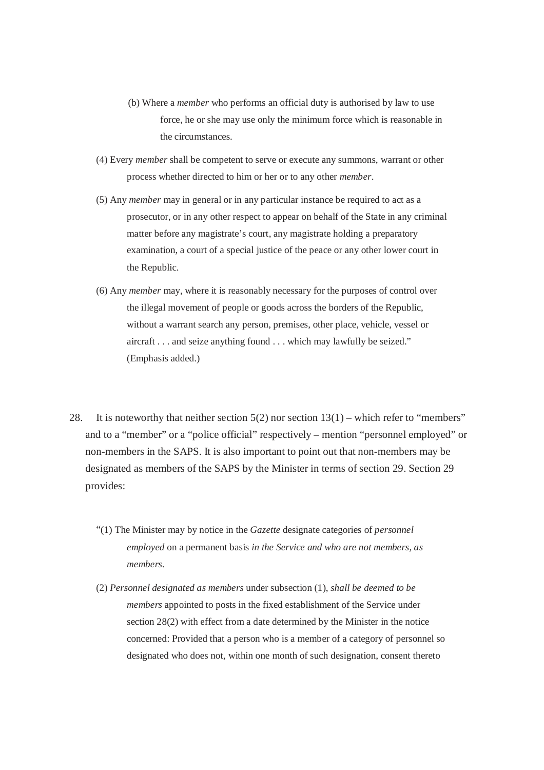- (b) Where a *member* who performs an official duty is authorised by law to use force, he or she may use only the minimum force which is reasonable in the circumstances.
- (4) Every *member* shall be competent to serve or execute any summons, warrant or other process whether directed to him or her or to any other *member*.
- (5) Any *member* may in general or in any particular instance be required to act as a prosecutor, or in any other respect to appear on behalf of the State in any criminal matter before any magistrate's court, any magistrate holding a preparatory examination, a court of a special justice of the peace or any other lower court in the Republic.
- (6) Any *member* may, where it is reasonably necessary for the purposes of control over the illegal movement of people or goods across the borders of the Republic, without a warrant search any person, premises, other place, vehicle, vessel or aircraft . . . and seize anything found . . . which may lawfully be seized." (Emphasis added.)
- 28. It is noteworthy that neither section  $5(2)$  nor section  $13(1)$  which refer to "members" and to a "member" or a "police official" respectively – mention "personnel employed" or non-members in the SAPS. It is also important to point out that non-members may be designated as members of the SAPS by the Minister in terms of section 29. Section 29 provides:
	- "(1) The Minister may by notice in the *Gazette* designate categories of *personnel employed* on a permanent basis *in the Service and who are not members, as members.*
	- (2) *Personnel designated as members* under subsection (1), *shall be deemed to be members* appointed to posts in the fixed establishment of the Service under section 28(2) with effect from a date determined by the Minister in the notice concerned: Provided that a person who is a member of a category of personnel so designated who does not, within one month of such designation, consent thereto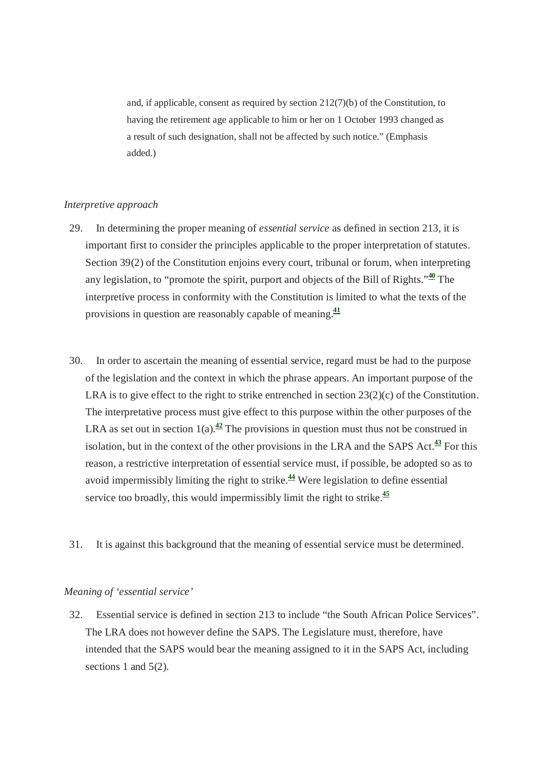and, if applicable, consent as required by section 212(7)(b) of the Constitution, to having the retirement age applicable to him or her on 1 October 1993 changed as a result of such designation, shall not be affected by such notice." (Emphasis added.)

# *Interpretive approach*

- 29. In determining the proper meaning of *essential service* as defined in section 213, it is important first to consider the principles applicable to the proper interpretation of statutes. Section 39(2) of the Constitution enjoins every court, tribunal or forum, when interpreting any legislation, to "promote the spirit, purport and objects of the Bill of Rights."**<sup>40</sup>** The interpretive process in conformity with the Constitution is limited to what the texts of the provisions in question are reasonably capable of meaning.**<sup>41</sup>**
- 30. In order to ascertain the meaning of essential service, regard must be had to the purpose of the legislation and the context in which the phrase appears. An important purpose of the LRA is to give effect to the right to strike entrenched in section 23(2)(c) of the Constitution. The interpretative process must give effect to this purpose within the other purposes of the LRA as set out in section  $1(a)$ .<sup>42</sup> The provisions in question must thus not be construed in isolation, but in the context of the other provisions in the LRA and the SAPS Act.**<sup>43</sup>** For this reason, a restrictive interpretation of essential service must, if possible, be adopted so as to avoid impermissibly limiting the right to strike.**<sup>44</sup>** Were legislation to define essential service too broadly, this would impermissibly limit the right to strike.**<sup>45</sup>**
- 31. It is against this background that the meaning of essential service must be determined.

#### *Meaning of 'essential service'*

32. Essential service is defined in section 213 to include "the South African Police Services". The LRA does not however define the SAPS. The Legislature must, therefore, have intended that the SAPS would bear the meaning assigned to it in the SAPS Act, including sections 1 and 5(2).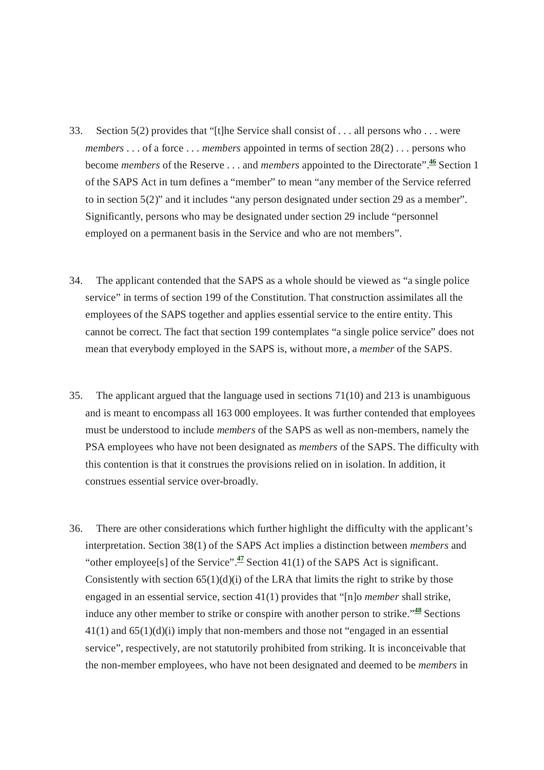- 33. Section 5(2) provides that "[t]he Service shall consist of . . . all persons who . . . were *members* . . . of a force . . . *members* appointed in terms of section 28(2) . . . persons who become *members* of the Reserve . . . and *members* appointed to the Directorate".**<sup>46</sup>** Section 1 of the SAPS Act in turn defines a "member" to mean "any member of the Service referred to in section 5(2)" and it includes "any person designated under section 29 as a member". Significantly, persons who may be designated under section 29 include "personnel employed on a permanent basis in the Service and who are not members".
- 34. The applicant contended that the SAPS as a whole should be viewed as "a single police service" in terms of section 199 of the Constitution. That construction assimilates all the employees of the SAPS together and applies essential service to the entire entity. This cannot be correct. The fact that section 199 contemplates "a single police service" does not mean that everybody employed in the SAPS is, without more, a *member* of the SAPS.
- 35. The applicant argued that the language used in sections 71(10) and 213 is unambiguous and is meant to encompass all 163 000 employees. It was further contended that employees must be understood to include *members* of the SAPS as well as non-members, namely the PSA employees who have not been designated as *members* of the SAPS. The difficulty with this contention is that it construes the provisions relied on in isolation. In addition, it construes essential service over-broadly.
- 36. There are other considerations which further highlight the difficulty with the applicant's interpretation. Section 38(1) of the SAPS Act implies a distinction between *members* and "other employee<sup>[s]</sup> of the Service".<sup>47</sup> Section 41(1) of the SAPS Act is significant. Consistently with section  $65(1)(d)(i)$  of the LRA that limits the right to strike by those engaged in an essential service, section 41(1) provides that "[n]o *member* shall strike, induce any other member to strike or conspire with another person to strike."**<sup>48</sup>** Sections  $41(1)$  and  $65(1)(d)(i)$  imply that non-members and those not "engaged in an essential service", respectively, are not statutorily prohibited from striking. It is inconceivable that the non-member employees, who have not been designated and deemed to be *members* in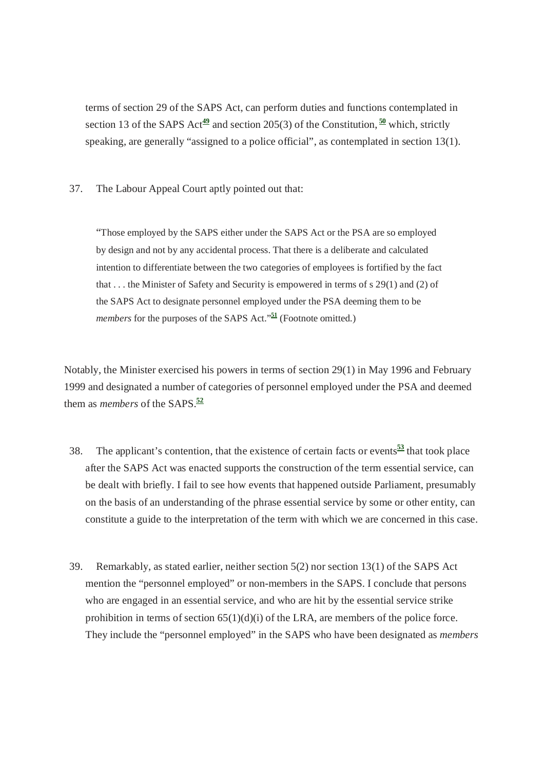terms of section 29 of the SAPS Act, can perform duties and functions contemplated in section 13 of the SAPS Act<sup>49</sup> and section 205(3) of the Constitution,  $\frac{50}{9}$  which, strictly speaking, are generally "assigned to a police official", as contemplated in section 13(1).

37. The Labour Appeal Court aptly pointed out that:

"Those employed by the SAPS either under the SAPS Act or the PSA are so employed by design and not by any accidental process. That there is a deliberate and calculated intention to differentiate between the two categories of employees is fortified by the fact that . . . the Minister of Safety and Security is empowered in terms of s 29(1) and (2) of the SAPS Act to designate personnel employed under the PSA deeming them to be *members* for the purposes of the SAPS Act."**<sup>51</sup>** (Footnote omitted.)

Notably, the Minister exercised his powers in terms of section 29(1) in May 1996 and February 1999 and designated a number of categories of personnel employed under the PSA and deemed them as *members* of the SAPS.**<sup>52</sup>**

- 38. The applicant's contention, that the existence of certain facts or events**<sup>53</sup>** that took place after the SAPS Act was enacted supports the construction of the term essential service, can be dealt with briefly. I fail to see how events that happened outside Parliament, presumably on the basis of an understanding of the phrase essential service by some or other entity, can constitute a guide to the interpretation of the term with which we are concerned in this case.
- 39. Remarkably, as stated earlier, neither section 5(2) nor section 13(1) of the SAPS Act mention the "personnel employed" or non-members in the SAPS. I conclude that persons who are engaged in an essential service, and who are hit by the essential service strike prohibition in terms of section  $65(1)(d)(i)$  of the LRA, are members of the police force. They include the "personnel employed" in the SAPS who have been designated as *members*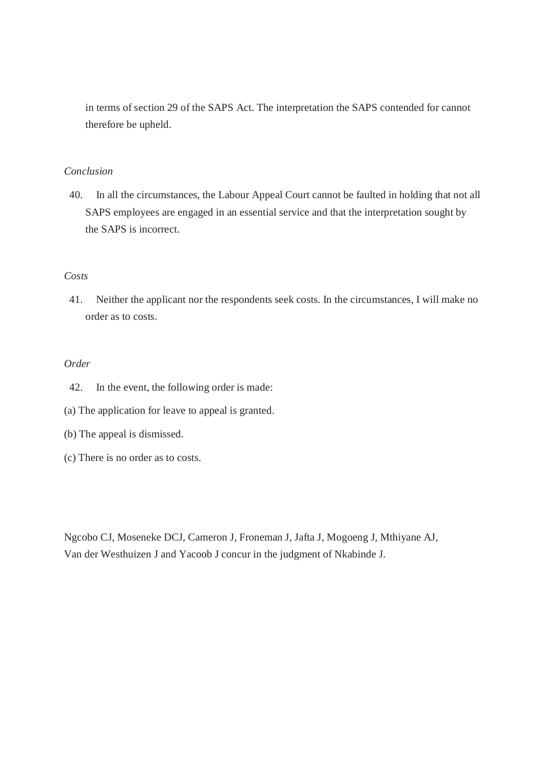in terms of section 29 of the SAPS Act. The interpretation the SAPS contended for cannot therefore be upheld.

# *Conclusion*

40. In all the circumstances, the Labour Appeal Court cannot be faulted in holding that not all SAPS employees are engaged in an essential service and that the interpretation sought by the SAPS is incorrect.

# *Costs*

41. Neither the applicant nor the respondents seek costs. In the circumstances, I will make no order as to costs.

# *Order*

- 42. In the event, the following order is made:
- (a) The application for leave to appeal is granted.
- (b) The appeal is dismissed.
- (c) There is no order as to costs.

Ngcobo CJ, Moseneke DCJ, Cameron J, Froneman J, Jafta J, Mogoeng J, Mthiyane AJ, Van der Westhuizen J and Yacoob J concur in the judgment of Nkabinde J.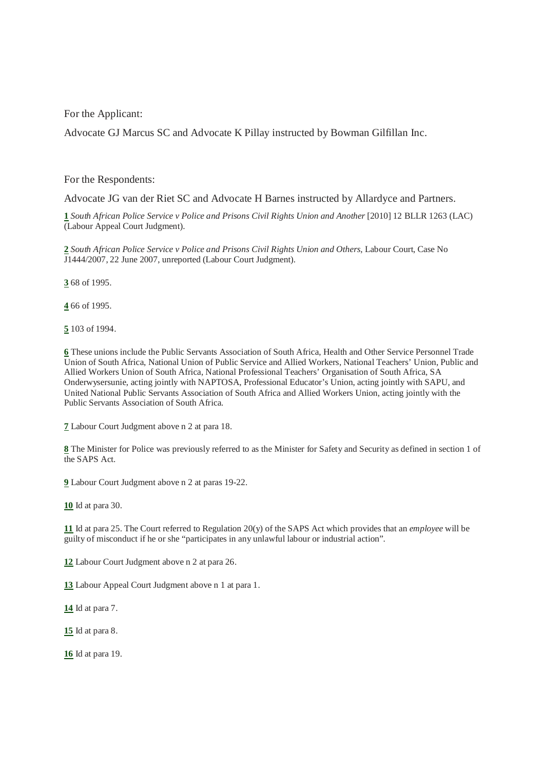For the Applicant:

Advocate GJ Marcus SC and Advocate K Pillay instructed by Bowman Gilfillan Inc.

For the Respondents:

Advocate JG van der Riet SC and Advocate H Barnes instructed by Allardyce and Partners.

**1** *South African Police Service v Police and Prisons Civil Rights Union and Another* [2010] 12 BLLR 1263 (LAC) (Labour Appeal Court Judgment).

**2** *South African Police Service v Police and Prisons Civil Rights Union and Others*, Labour Court, Case No J1444/2007, 22 June 2007, unreported (Labour Court Judgment).

**3** 68 of 1995.

**4** 66 of 1995.

**5** 103 of 1994.

**6** These unions include the Public Servants Association of South Africa, Health and Other Service Personnel Trade Union of South Africa, National Union of Public Service and Allied Workers, National Teachers' Union, Public and Allied Workers Union of South Africa, National Professional Teachers' Organisation of South Africa, SA Onderwysersunie, acting jointly with NAPTOSA, Professional Educator's Union, acting jointly with SAPU, and United National Public Servants Association of South Africa and Allied Workers Union, acting jointly with the Public Servants Association of South Africa.

**7** Labour Court Judgment above n 2 at para 18.

**8** The Minister for Police was previously referred to as the Minister for Safety and Security as defined in section 1 of the SAPS Act.

**9** Labour Court Judgment above n 2 at paras 19-22.

**10** Id at para 30.

**11** Id at para 25. The Court referred to Regulation 20(y) of the SAPS Act which provides that an *employee* will be guilty of misconduct if he or she "participates in any unlawful labour or industrial action".

**12** Labour Court Judgment above n 2 at para 26.

**13** Labour Appeal Court Judgment above n 1 at para 1.

**14** Id at para 7.

**15** Id at para 8.

**16** Id at para 19.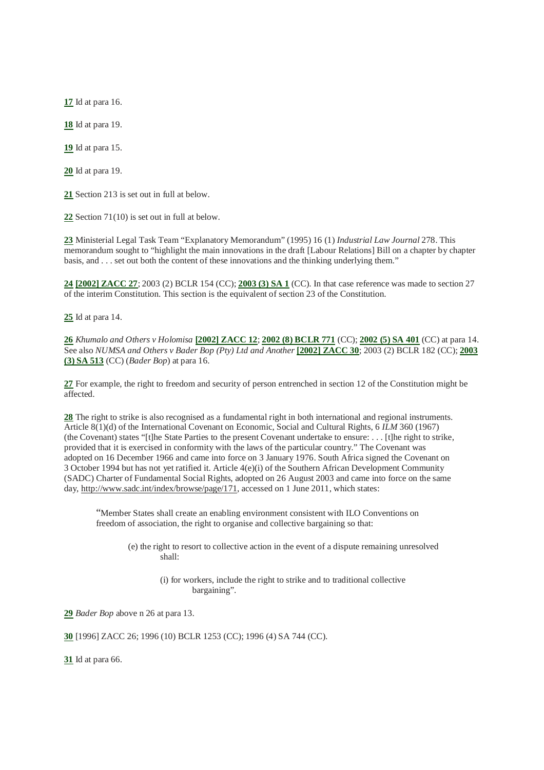**17** Id at para 16.

**18** Id at para 19.

**19** Id at para 15.

**20** Id at para 19.

**21** Section 213 is set out in full at below.

**22** Section 71(10) is set out in full at below.

**23** Ministerial Legal Task Team "Explanatory Memorandum" (1995) 16 (1) *Industrial Law Journal* 278. This memorandum sought to "highlight the main innovations in the draft [Labour Relations] Bill on a chapter by chapter basis, and . . . set out both the content of these innovations and the thinking underlying them."

**24 [2002] ZACC 27**; 2003 (2) BCLR 154 (CC); **2003 (3) SA 1** (CC). In that case reference was made to section 27 of the interim Constitution. This section is the equivalent of section 23 of the Constitution.

**25** Id at para 14.

**26** *Khumalo and Others v Holomisa* **[2002] ZACC 12**; **2002 (8) BCLR 771** (CC); **2002 (5) SA 401** (CC) at para 14. See also *NUMSA and Others v Bader Bop (Pty) Ltd and Another* [2002] **ZACC 30**; 2003 (2) BCLR 182 (CC); **2003 (3) SA 513** (CC) (*Bader Bop*) at para 16.

**27** For example, the right to freedom and security of person entrenched in section 12 of the Constitution might be affected.

**28** The right to strike is also recognised as a fundamental right in both international and regional instruments. Article 8(1)(d) of the International Covenant on Economic, Social and Cultural Rights, 6 *ILM* 360 (1967) (the Covenant) states "[t]he State Parties to the present Covenant undertake to ensure: . . . [t]he right to strike, provided that it is exercised in conformity with the laws of the particular country." The Covenant was adopted on 16 December 1966 and came into force on 3 January 1976. South Africa signed the Covenant on 3 October 1994 but has not yet ratified it. Article 4(e)(i) of the Southern African Development Community (SADC) Charter of Fundamental Social Rights, adopted on 26 August 2003 and came into force on the same day, http://www.sadc.int/index/browse/page/171, accessed on 1 June 2011, which states:

"Member States shall create an enabling environment consistent with ILO Conventions on freedom of association, the right to organise and collective bargaining so that:

(e) the right to resort to collective action in the event of a dispute remaining unresolved shall:

> (i) for workers, include the right to strike and to traditional collective bargaining".

**29** *Bader Bop* above n 26 at para 13.

**30** [1996] ZACC 26; 1996 (10) BCLR 1253 (CC); 1996 (4) SA 744 (CC).

**31** Id at para 66.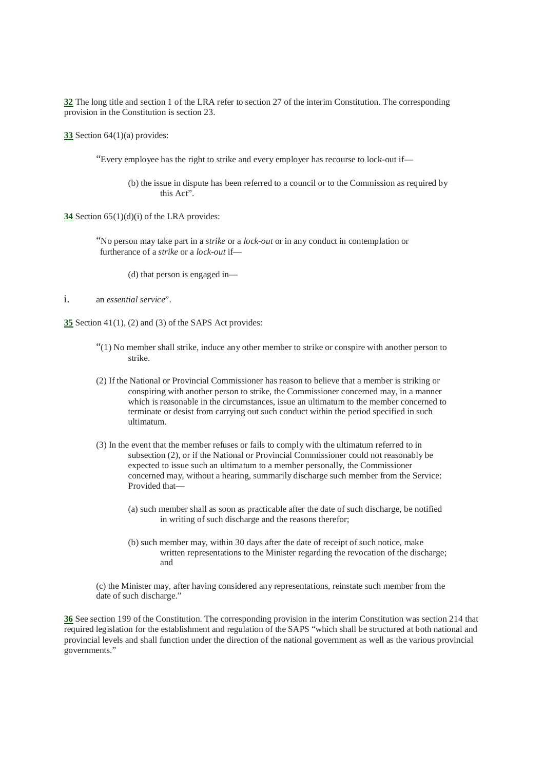**32** The long title and section 1 of the LRA refer to section 27 of the interim Constitution. The corresponding provision in the Constitution is section 23.

**33** Section 64(1)(a) provides:

"Every employee has the right to strike and every employer has recourse to lock-out if—

(b) the issue in dispute has been referred to a council or to the Commission as required by this Act".

**34** Section 65(1)(d)(i) of the LRA provides:

"No person may take part in a *strike* or a *lock-out* or in any conduct in contemplation or furtherance of a *strike* or a *lock-out* if—

(d) that person is engaged in—

#### i. an *essential service*".

**35** Section 41(1), (2) and (3) of the SAPS Act provides:

- "(1) No member shall strike, induce any other member to strike or conspire with another person to strike.
- (2) If the National or Provincial Commissioner has reason to believe that a member is striking or conspiring with another person to strike, the Commissioner concerned may, in a manner which is reasonable in the circumstances, issue an ultimatum to the member concerned to terminate or desist from carrying out such conduct within the period specified in such ultimatum.
- (3) In the event that the member refuses or fails to comply with the ultimatum referred to in subsection (2), or if the National or Provincial Commissioner could not reasonably be expected to issue such an ultimatum to a member personally, the Commissioner concerned may, without a hearing, summarily discharge such member from the Service: Provided that—
	- (a) such member shall as soon as practicable after the date of such discharge, be notified in writing of such discharge and the reasons therefor;
	- (b) such member may, within 30 days after the date of receipt of such notice, make written representations to the Minister regarding the revocation of the discharge; and

(c) the Minister may, after having considered any representations, reinstate such member from the date of such discharge."

**36** See section 199 of the Constitution. The corresponding provision in the interim Constitution was section 214 that required legislation for the establishment and regulation of the SAPS "which shall be structured at both national and provincial levels and shall function under the direction of the national government as well as the various provincial governments."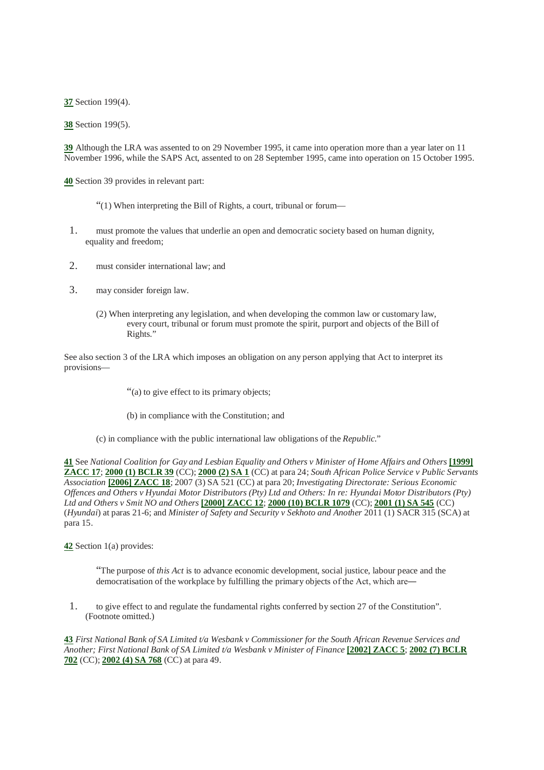**37** Section 199(4).

**38** Section 199(5).

**39** Although the LRA was assented to on 29 November 1995, it came into operation more than a year later on 11 November 1996, while the SAPS Act, assented to on 28 September 1995, came into operation on 15 October 1995.

**40** Section 39 provides in relevant part:

- "(1) When interpreting the Bill of Rights, a court, tribunal or forum—
- 1. must promote the values that underlie an open and democratic society based on human dignity, equality and freedom;
- 2. must consider international law; and
- 3. may consider foreign law.
	- (2) When interpreting any legislation, and when developing the common law or customary law, every court, tribunal or forum must promote the spirit, purport and objects of the Bill of Rights."

See also section 3 of the LRA which imposes an obligation on any person applying that Act to interpret its provisions—

"(a) to give effect to its primary objects;

- (b) in compliance with the Constitution; and
- (c) in compliance with the public international law obligations of the *Republic*."

**41** See *National Coalition for Gay and Lesbian Equality and Others v Minister of Home Affairs and Others* **[1999] ZACC 17**; **2000 (1) BCLR 39** (CC); **2000 (2) SA 1** (CC) at para 24; *South African Police Service v Public Servants Association* **[2006] ZACC 18**; 2007 (3) SA 521 (CC) at para 20; *Investigating Directorate: Serious Economic Offences and Others v Hyundai Motor Distributors (Pty) Ltd and Others: In re: Hyundai Motor Distributors (Pty) Ltd and Others v Smit NO and Others* **[2000] ZACC 12**; **2000 (10) BCLR 1079** (CC); **2001 (1) SA 545** (CC) (*Hyundai*) at paras 21-6; and *Minister of Safety and Security v Sekhoto and Another* 2011 (1) SACR 315 (SCA) at para 15.

**42** Section 1(a) provides:

"The purpose of *this Act* is to advance economic development, social justice, labour peace and the democratisation of the workplace by fulfilling the primary objects of the Act, which are―

1. to give effect to and regulate the fundamental rights conferred by section 27 of the Constitution". (Footnote omitted.)

**43** *First National Bank of SA Limited t/a Wesbank v Commissioner for the South African Revenue Services and Another; First National Bank of SA Limited t/a Wesbank v Minister of Finance* **[2002] ZACC 5**; **2002 (7) BCLR 702** (CC); **2002 (4) SA 768** (CC) at para 49.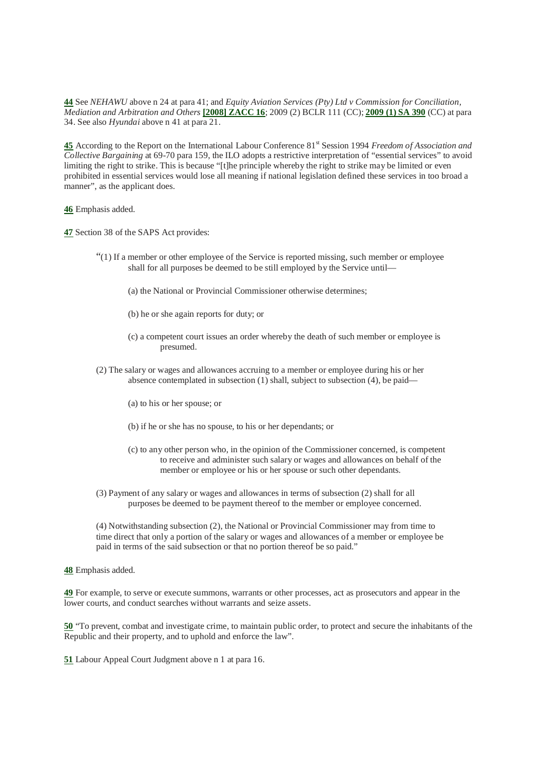**44** See *NEHAWU* above n 24 at para 41; and *Equity Aviation Services (Pty) Ltd v Commission for Conciliation, Mediation and Arbitration and Others* **[2008] ZACC 16**; 2009 (2) BCLR 111 (CC); **2009 (1) SA 390** (CC) at para 34. See also *Hyundai* above n 41 at para 21.

**45** According to the Report on the International Labour Conference 81st Session 1994 *Freedom of Association and Collective Bargaining* at 69-70 para 159, the ILO adopts a restrictive interpretation of "essential services" to avoid limiting the right to strike. This is because "[t]he principle whereby the right to strike may be limited or even prohibited in essential services would lose all meaning if national legislation defined these services in too broad a manner", as the applicant does.

**46** Emphasis added.

**47** Section 38 of the SAPS Act provides:

- "(1) If a member or other employee of the Service is reported missing, such member or employee shall for all purposes be deemed to be still employed by the Service until—
	- (a) the National or Provincial Commissioner otherwise determines;
	- (b) he or she again reports for duty; or
	- (c) a competent court issues an order whereby the death of such member or employee is presumed.
- (2) The salary or wages and allowances accruing to a member or employee during his or her absence contemplated in subsection (1) shall, subject to subsection (4), be paid—
	- (a) to his or her spouse; or
	- (b) if he or she has no spouse, to his or her dependants; or
	- (c) to any other person who, in the opinion of the Commissioner concerned, is competent to receive and administer such salary or wages and allowances on behalf of the member or employee or his or her spouse or such other dependants.
- (3) Payment of any salary or wages and allowances in terms of subsection (2) shall for all purposes be deemed to be payment thereof to the member or employee concerned.

(4) Notwithstanding subsection (2), the National or Provincial Commissioner may from time to time direct that only a portion of the salary or wages and allowances of a member or employee be paid in terms of the said subsection or that no portion thereof be so paid."

**48** Emphasis added.

**49** For example, to serve or execute summons, warrants or other processes, act as prosecutors and appear in the lower courts, and conduct searches without warrants and seize assets.

**50** "To prevent, combat and investigate crime, to maintain public order, to protect and secure the inhabitants of the Republic and their property, and to uphold and enforce the law".

**51** Labour Appeal Court Judgment above n 1 at para 16.